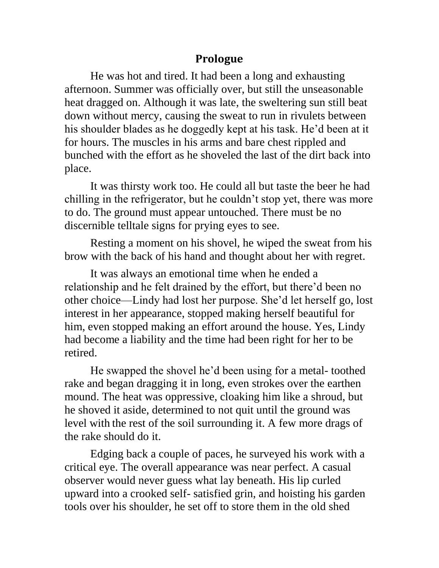## **Prologue**

He was hot and tired. It had been a long and exhausting afternoon. Summer was officially over, but still the unseasonable heat dragged on. Although it was late, the sweltering sun still beat down without mercy, causing the sweat to run in rivulets between his shoulder blades as he doggedly kept at his task. He'd been at it for hours. The muscles in his arms and bare chest rippled and bunched with the effort as he shoveled the last of the dirt back into place.

It was thirsty work too. He could all but taste the beer he had chilling in the refrigerator, but he couldn't stop yet, there was more to do. The ground must appear untouched. There must be no discernible telltale signs for prying eyes to see.

Resting a moment on his shovel, he wiped the sweat from his brow with the back of his hand and thought about her with regret.

It was always an emotional time when he ended a relationship and he felt drained by the effort, but there'd been no other choice—Lindy had lost her purpose. She'd let herself go, lost interest in her appearance, stopped making herself beautiful for him, even stopped making an effort around the house. Yes, Lindy had become a liability and the time had been right for her to be retired.

He swapped the shovel he'd been using for a metal- toothed rake and began dragging it in long, even strokes over the earthen mound. The heat was oppressive, cloaking him like a shroud, but he shoved it aside, determined to not quit until the ground was level with the rest of the soil surrounding it. A few more drags of the rake should do it.

Edging back a couple of paces, he surveyed his work with a critical eye. The overall appearance was near perfect. A casual observer would never guess what lay beneath. His lip curled upward into a crooked self- satisfied grin, and hoisting his garden tools over his shoulder, he set off to store them in the old shed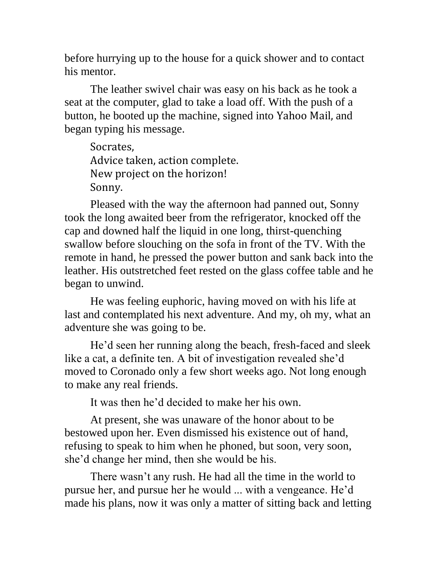before hurrying up to the house for a quick shower and to contact his mentor.

The leather swivel chair was easy on his back as he took a seat at the computer, glad to take a load off. With the push of a button, he booted up the machine, signed into Yahoo Mail, and began typing his message.

Socrates, Advice taken, action complete. New project on the horizon! Sonny.

Pleased with the way the afternoon had panned out, Sonny took the long awaited beer from the refrigerator, knocked off the cap and downed half the liquid in one long, thirst-quenching swallow before slouching on the sofa in front of the TV. With the remote in hand, he pressed the power button and sank back into the leather. His outstretched feet rested on the glass coffee table and he began to unwind.

He was feeling euphoric, having moved on with his life at last and contemplated his next adventure. And my, oh my, what an adventure she was going to be.

He'd seen her running along the beach, fresh-faced and sleek like a cat, a definite ten. A bit of investigation revealed she'd moved to Coronado only a few short weeks ago. Not long enough to make any real friends.

It was then he'd decided to make her his own.

At present, she was unaware of the honor about to be bestowed upon her. Even dismissed his existence out of hand, refusing to speak to him when he phoned, but soon, very soon, she'd change her mind, then she would be his.

There wasn't any rush. He had all the time in the world to pursue her, and pursue her he would ... with a vengeance. He'd made his plans, now it was only a matter of sitting back and letting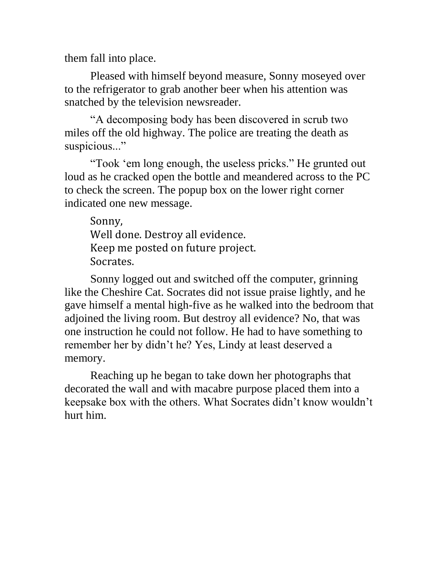them fall into place.

Pleased with himself beyond measure, Sonny moseyed over to the refrigerator to grab another beer when his attention was snatched by the television newsreader.

"A decomposing body has been discovered in scrub two miles off the old highway. The police are treating the death as suspicious..."

"Took 'em long enough, the useless pricks." He grunted out loud as he cracked open the bottle and meandered across to the PC to check the screen. The popup box on the lower right corner indicated one new message.

Sonny, Well done. Destroy all evidence. Keep me posted on future project. Socrates.

Sonny logged out and switched off the computer, grinning like the Cheshire Cat. Socrates did not issue praise lightly, and he gave himself a mental high-five as he walked into the bedroom that adjoined the living room. But destroy all evidence? No, that was one instruction he could not follow. He had to have something to remember her by didn't he? Yes, Lindy at least deserved a memory.

Reaching up he began to take down her photographs that decorated the wall and with macabre purpose placed them into a keepsake box with the others. What Socrates didn't know wouldn't hurt him.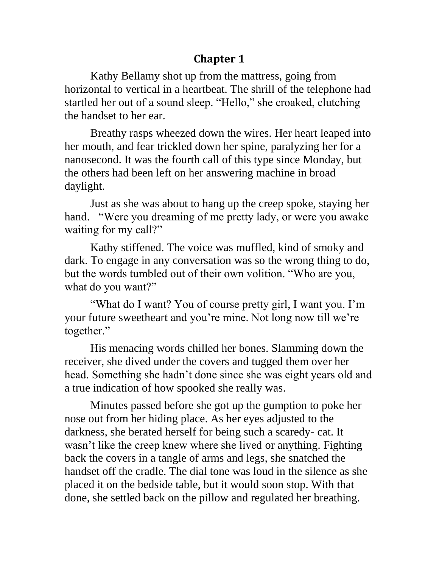## **Chapter 1**

Kathy Bellamy shot up from the mattress, going from horizontal to vertical in a heartbeat. The shrill of the telephone had startled her out of a sound sleep. "Hello," she croaked, clutching the handset to her ear.

Breathy rasps wheezed down the wires. Her heart leaped into her mouth, and fear trickled down her spine, paralyzing her for a nanosecond. It was the fourth call of this type since Monday, but the others had been left on her answering machine in broad daylight.

Just as she was about to hang up the creep spoke, staying her hand. "Were you dreaming of me pretty lady, or were you awake waiting for my call?"

Kathy stiffened. The voice was muffled, kind of smoky and dark. To engage in any conversation was so the wrong thing to do, but the words tumbled out of their own volition. "Who are you, what do you want?"

"What do I want? You of course pretty girl, I want you. I'm your future sweetheart and you're mine. Not long now till we're together."

His menacing words chilled her bones. Slamming down the receiver, she dived under the covers and tugged them over her head. Something she hadn't done since she was eight years old and a true indication of how spooked she really was.

Minutes passed before she got up the gumption to poke her nose out from her hiding place. As her eyes adjusted to the darkness, she berated herself for being such a scaredy- cat. It wasn't like the creep knew where she lived or anything. Fighting back the covers in a tangle of arms and legs, she snatched the handset off the cradle. The dial tone was loud in the silence as she placed it on the bedside table, but it would soon stop. With that done, she settled back on the pillow and regulated her breathing.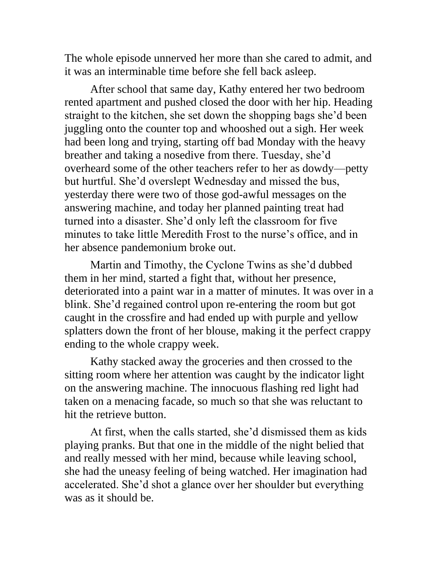The whole episode unnerved her more than she cared to admit, and it was an interminable time before she fell back asleep.

After school that same day, Kathy entered her two bedroom rented apartment and pushed closed the door with her hip. Heading straight to the kitchen, she set down the shopping bags she'd been juggling onto the counter top and whooshed out a sigh. Her week had been long and trying, starting off bad Monday with the heavy breather and taking a nosedive from there. Tuesday, she'd overheard some of the other teachers refer to her as dowdy—petty but hurtful. She'd overslept Wednesday and missed the bus, yesterday there were two of those god-awful messages on the answering machine, and today her planned painting treat had turned into a disaster. She'd only left the classroom for five minutes to take little Meredith Frost to the nurse's office, and in her absence pandemonium broke out.

Martin and Timothy, the Cyclone Twins as she'd dubbed them in her mind, started a fight that, without her presence, deteriorated into a paint war in a matter of minutes. It was over in a blink. She'd regained control upon re-entering the room but got caught in the crossfire and had ended up with purple and yellow splatters down the front of her blouse, making it the perfect crappy ending to the whole crappy week.

Kathy stacked away the groceries and then crossed to the sitting room where her attention was caught by the indicator light on the answering machine. The innocuous flashing red light had taken on a menacing facade, so much so that she was reluctant to hit the retrieve button.

At first, when the calls started, she'd dismissed them as kids playing pranks. But that one in the middle of the night belied that and really messed with her mind, because while leaving school, she had the uneasy feeling of being watched. Her imagination had accelerated. She'd shot a glance over her shoulder but everything was as it should be.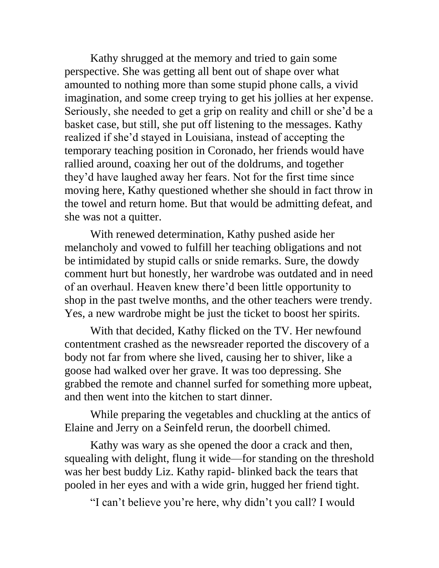Kathy shrugged at the memory and tried to gain some perspective. She was getting all bent out of shape over what amounted to nothing more than some stupid phone calls, a vivid imagination, and some creep trying to get his jollies at her expense. Seriously, she needed to get a grip on reality and chill or she'd be a basket case, but still, she put off listening to the messages. Kathy realized if she'd stayed in Louisiana, instead of accepting the temporary teaching position in Coronado, her friends would have rallied around, coaxing her out of the doldrums, and together they'd have laughed away her fears. Not for the first time since moving here, Kathy questioned whether she should in fact throw in the towel and return home. But that would be admitting defeat, and she was not a quitter.

With renewed determination, Kathy pushed aside her melancholy and vowed to fulfill her teaching obligations and not be intimidated by stupid calls or snide remarks. Sure, the dowdy comment hurt but honestly, her wardrobe was outdated and in need of an overhaul. Heaven knew there'd been little opportunity to shop in the past twelve months, and the other teachers were trendy. Yes, a new wardrobe might be just the ticket to boost her spirits.

With that decided, Kathy flicked on the TV. Her newfound contentment crashed as the newsreader reported the discovery of a body not far from where she lived, causing her to shiver, like a goose had walked over her grave. It was too depressing. She grabbed the remote and channel surfed for something more upbeat, and then went into the kitchen to start dinner.

While preparing the vegetables and chuckling at the antics of Elaine and Jerry on a Seinfeld rerun, the doorbell chimed.

Kathy was wary as she opened the door a crack and then, squealing with delight, flung it wide—for standing on the threshold was her best buddy Liz. Kathy rapid- blinked back the tears that pooled in her eyes and with a wide grin, hugged her friend tight.

"I can't believe you're here, why didn't you call? I would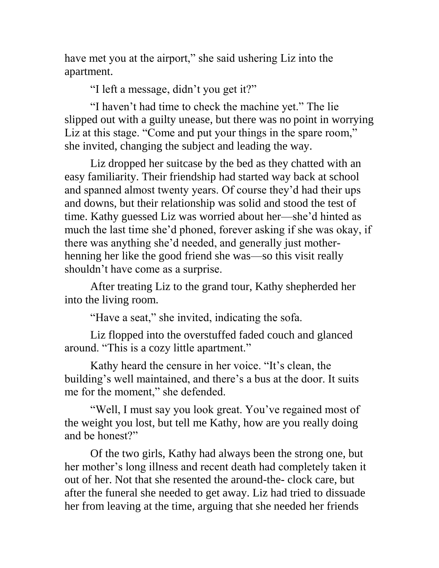have met you at the airport," she said ushering Liz into the apartment.

"I left a message, didn't you get it?"

"I haven't had time to check the machine yet." The lie slipped out with a guilty unease, but there was no point in worrying Liz at this stage. "Come and put your things in the spare room," she invited, changing the subject and leading the way.

Liz dropped her suitcase by the bed as they chatted with an easy familiarity. Their friendship had started way back at school and spanned almost twenty years. Of course they'd had their ups and downs, but their relationship was solid and stood the test of time. Kathy guessed Liz was worried about her—she'd hinted as much the last time she'd phoned, forever asking if she was okay, if there was anything she'd needed, and generally just motherhenning her like the good friend she was—so this visit really shouldn't have come as a surprise.

After treating Liz to the grand tour, Kathy shepherded her into the living room.

"Have a seat," she invited, indicating the sofa.

Liz flopped into the overstuffed faded couch and glanced around. "This is a cozy little apartment."

Kathy heard the censure in her voice. "It's clean, the building's well maintained, and there's a bus at the door. It suits me for the moment," she defended.

"Well, I must say you look great. You've regained most of the weight you lost, but tell me Kathy, how are you really doing and be honest?"

Of the two girls, Kathy had always been the strong one, but her mother's long illness and recent death had completely taken it out of her. Not that she resented the around-the- clock care, but after the funeral she needed to get away. Liz had tried to dissuade her from leaving at the time, arguing that she needed her friends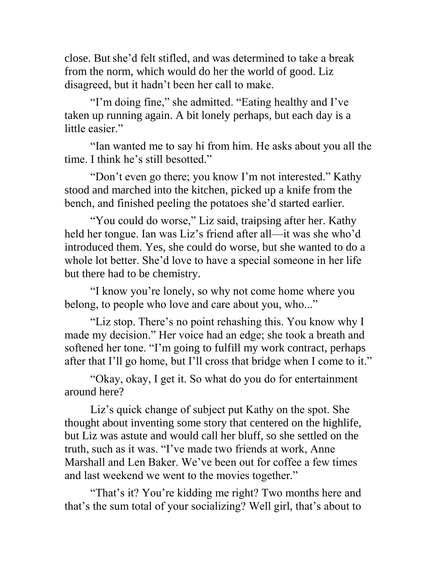close. Butshe'd felt stifled, and was determined to take a break from the norm, which would do her the world of good. Liz disagreed, but it hadn't been her call to make.

"I'm doing fine," she admitted. "Eating healthy and I've taken up running again. A bit lonely perhaps, but each day is a little easier."

"Ian wanted me to say hi from him. He asks about you all the time. I think he's still besotted."

"Don't even go there; you know I'm not interested." Kathy stood and marched into the kitchen, picked up a knife from the bench, and finished peeling the potatoes she'd started earlier.

"You could do worse," Liz said, traipsing after her. Kathy held her tongue. Ian was Liz's friend after all—it was she who'd introduced them. Yes, she could do worse, but she wanted to do a whole lot better. She'd love to have a special someone in her life but there had to be chemistry.

"I know you're lonely, so why not come home where you belong, to people who love and care about you, who..."

"Liz stop. There's no point rehashing this. You know why I made my decision." Her voice had an edge; she took a breath and softened her tone. "I'm going to fulfill my work contract, perhaps after that I'll go home, but I'll cross that bridge when I come to it."

"Okay, okay, I get it. So what do you do for entertainment around here?

Liz's quick change of subject put Kathy on the spot. She thought about inventing some story that centered on the highlife, but Liz was astute and would call her bluff, so she settled on the truth, such as it was. "I've made two friends at work, Anne Marshall and Len Baker. We've been out for coffee a few times and last weekend we went to the movies together."

"That's it? You're kidding me right? Two months here and that's the sum total of your socializing? Well girl, that's about to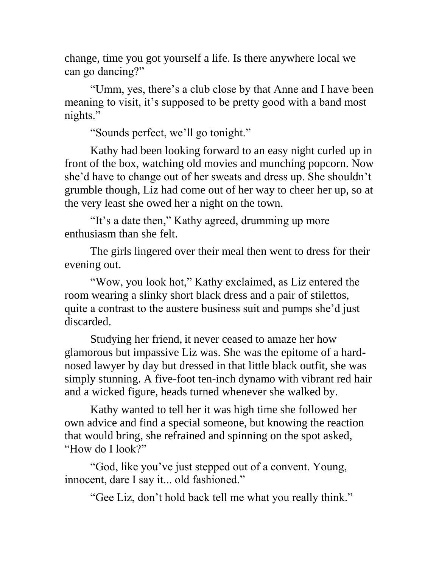change, time you got yourself a life. Is there anywhere local we can go dancing?"

"Umm, yes, there's a club close by that Anne and I have been meaning to visit, it's supposed to be pretty good with a band most nights."

"Sounds perfect, we'll go tonight."

Kathy had been looking forward to an easy night curled up in front of the box, watching old movies and munching popcorn. Now she'd have to change out of her sweats and dress up. She shouldn't grumble though, Liz had come out of her way to cheer her up, so at the very least she owed her a night on the town.

"It's a date then," Kathy agreed, drumming up more enthusiasm than she felt.

The girls lingered over their meal then went to dress for their evening out.

"Wow, you look hot," Kathy exclaimed, as Liz entered the room wearing a slinky short black dress and a pair of stilettos, quite a contrast to the austere business suit and pumps she'd just discarded.

Studying her friend, it never ceased to amaze her how glamorous but impassive Liz was. She was the epitome of a hardnosed lawyer by day but dressed in that little black outfit, she was simply stunning. A five-foot ten-inch dynamo with vibrant red hair and a wicked figure, heads turned whenever she walked by.

Kathy wanted to tell her it was high time she followed her own advice and find a special someone, but knowing the reaction that would bring, she refrained and spinning on the spot asked, "How do I look?"

"God, like you've just stepped out of a convent. Young, innocent, dare I say it... old fashioned."

"Gee Liz, don't hold back tell me what you really think."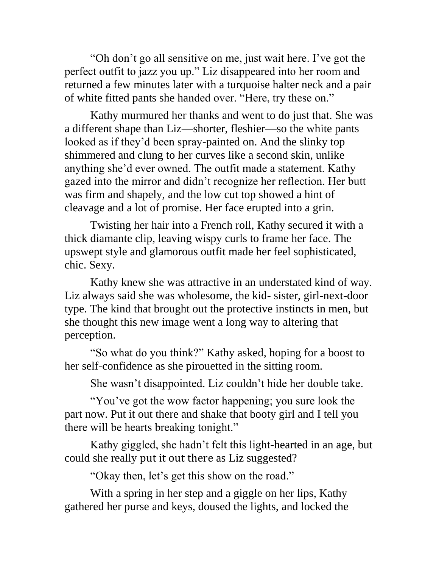"Oh don't go all sensitive on me, just wait here. I've got the perfect outfit to jazz you up." Liz disappeared into her room and returned a few minutes later with a turquoise halter neck and a pair of white fitted pants she handed over. "Here, try these on."

Kathy murmured her thanks and went to do just that. She was a different shape than Liz—shorter, fleshier—so the white pants looked as if they'd been spray-painted on. And the slinky top shimmered and clung to her curves like a second skin, unlike anything she'd ever owned. The outfit made a statement. Kathy gazed into the mirror and didn't recognize her reflection. Her butt was firm and shapely, and the low cut top showed a hint of cleavage and a lot of promise. Her face erupted into a grin.

Twisting her hair into a French roll, Kathy secured it with a thick diamante clip, leaving wispy curls to frame her face. The upswept style and glamorous outfit made her feel sophisticated, chic. Sexy.

Kathy knew she was attractive in an understated kind of way. Liz always said she was wholesome, the kid- sister, girl-next-door type. The kind that brought out the protective instincts in men, but she thought this new image went a long way to altering that perception.

"So what do you think?" Kathy asked, hoping for a boost to her self-confidence as she pirouetted in the sitting room.

She wasn't disappointed. Liz couldn't hide her double take.

"You've got the wow factor happening; you sure look the part now. Put it out there and shake that booty girl and I tell you there will be hearts breaking tonight."

Kathy giggled, she hadn't felt this light-hearted in an age, but could she really put it out there as Liz suggested?

"Okay then, let's get this show on the road."

With a spring in her step and a giggle on her lips, Kathy gathered her purse and keys, doused the lights, and locked the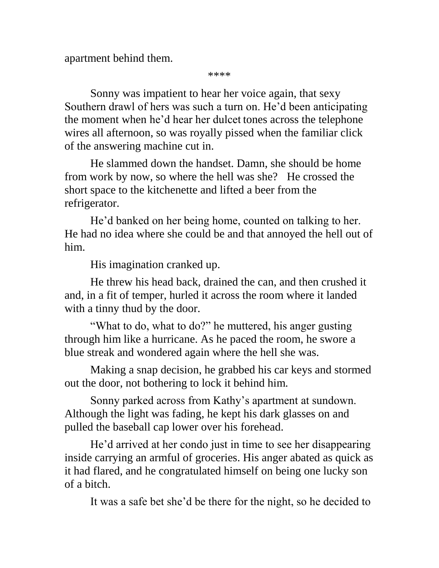apartment behind them.

\*\*\*\*

Sonny was impatient to hear her voice again, that sexy Southern drawl of hers was such a turn on. He'd been anticipating the moment when he'd hear her dulcet tones across the telephone wires all afternoon, so was royally pissed when the familiar click of the answering machine cut in.

He slammed down the handset. Damn, she should be home from work by now, so where the hell was she? He crossed the short space to the kitchenette and lifted a beer from the refrigerator.

He'd banked on her being home, counted on talking to her. He had no idea where she could be and that annoyed the hell out of him.

His imagination cranked up.

He threw his head back, drained the can, and then crushed it and, in a fit of temper, hurled it across the room where it landed with a tinny thud by the door.

"What to do, what to do?" he muttered, his anger gusting through him like a hurricane. As he paced the room, he swore a blue streak and wondered again where the hell she was.

Making a snap decision, he grabbed his car keys and stormed out the door, not bothering to lock it behind him.

Sonny parked across from Kathy's apartment at sundown. Although the light was fading, he kept his dark glasses on and pulled the baseball cap lower over his forehead.

He'd arrived at her condo just in time to see her disappearing inside carrying an armful of groceries. His anger abated as quick as it had flared, and he congratulated himself on being one lucky son of a bitch.

It was a safe bet she'd be there for the night, so he decided to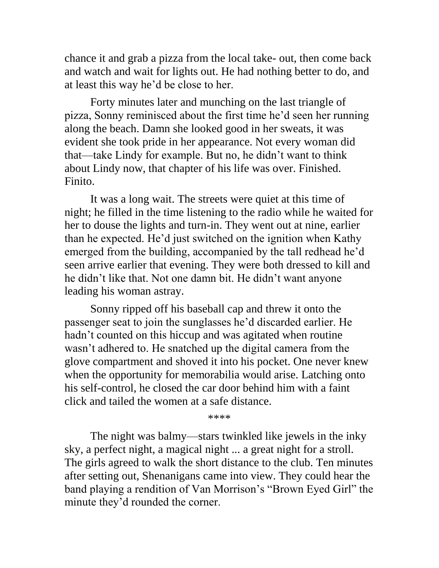chance it and grab a pizza from the local take- out, then come back and watch and wait for lights out. He had nothing better to do, and at least this way he'd be close to her.

Forty minutes later and munching on the last triangle of pizza, Sonny reminisced about the first time he'd seen her running along the beach. Damn she looked good in her sweats, it was evident she took pride in her appearance. Not every woman did that—take Lindy for example. But no, he didn't want to think about Lindy now, that chapter of his life was over. Finished. Finito.

It was a long wait. The streets were quiet at this time of night; he filled in the time listening to the radio while he waited for her to douse the lights and turn-in. They went out at nine, earlier than he expected. He'd just switched on the ignition when Kathy emerged from the building, accompanied by the tall redhead he'd seen arrive earlier that evening. They were both dressed to kill and he didn't like that. Not one damn bit. He didn't want anyone leading his woman astray.

Sonny ripped off his baseball cap and threw it onto the passenger seat to join the sunglasses he'd discarded earlier. He hadn't counted on this hiccup and was agitated when routine wasn't adhered to. He snatched up the digital camera from the glove compartment and shoved it into his pocket. One never knew when the opportunity for memorabilia would arise. Latching onto his self-control, he closed the car door behind him with a faint click and tailed the women at a safe distance.

\*\*\*\*

The night was balmy—stars twinkled like jewels in the inky sky, a perfect night, a magical night ... a great night for a stroll. The girls agreed to walk the short distance to the club. Ten minutes after setting out, Shenanigans came into view. They could hear the band playing a rendition of Van Morrison's "Brown Eyed Girl" the minute they'd rounded the corner.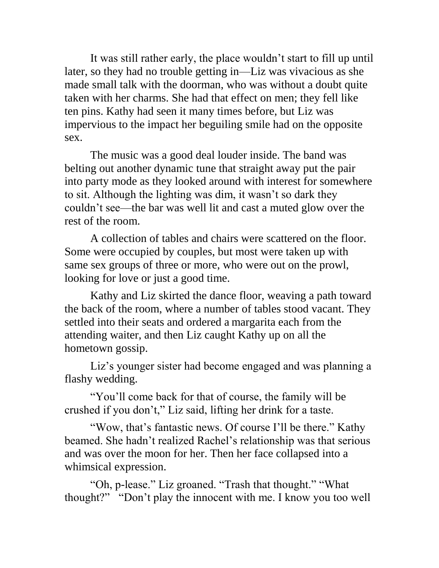It was still rather early, the place wouldn't start to fill up until later, so they had no trouble getting in—Liz was vivacious as she made small talk with the doorman, who was without a doubt quite taken with her charms. She had that effect on men; they fell like ten pins. Kathy had seen it many times before, but Liz was impervious to the impact her beguiling smile had on the opposite sex.

The music was a good deal louder inside. The band was belting out another dynamic tune that straight away put the pair into party mode as they looked around with interest for somewhere to sit. Although the lighting was dim, it wasn't so dark they couldn't see—the bar was well lit and cast a muted glow over the rest of the room.

A collection of tables and chairs were scattered on the floor. Some were occupied by couples, but most were taken up with same sex groups of three or more, who were out on the prowl, looking for love or just a good time.

Kathy and Liz skirted the dance floor, weaving a path toward the back of the room, where a number of tables stood vacant. They settled into their seats and ordered a margarita each from the attending waiter, and then Liz caught Kathy up on all the hometown gossip.

Liz's younger sister had become engaged and was planning a flashy wedding.

"You'll come back for that of course, the family will be crushed if you don't," Liz said, lifting her drink for a taste.

"Wow, that's fantastic news. Of course I'll be there." Kathy beamed. She hadn't realized Rachel's relationship was that serious and was over the moon for her. Then her face collapsed into a whimsical expression.

"Oh, p-lease." Liz groaned. "Trash that thought." "What thought?" "Don't play the innocent with me. I know you too well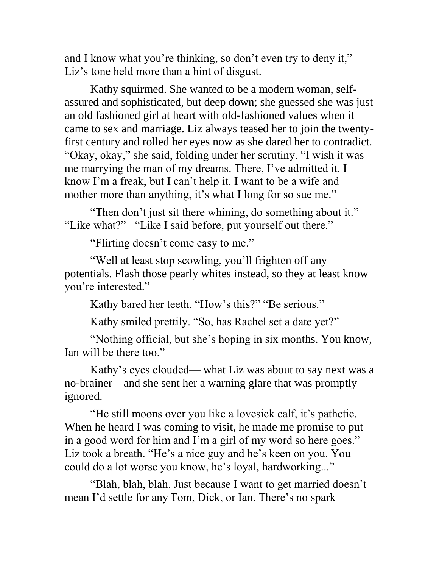and I know what you're thinking, so don't even try to deny it," Liz's tone held more than a hint of disgust.

Kathy squirmed. She wanted to be a modern woman, selfassured and sophisticated, but deep down; she guessed she was just an old fashioned girl at heart with old-fashioned values when it came to sex and marriage. Liz always teased her to join the twentyfirst century and rolled her eyes now as she dared her to contradict. "Okay, okay," she said, folding under her scrutiny. "I wish it was me marrying the man of my dreams. There, I've admitted it. I know I'm a freak, but I can't help it. I want to be a wife and mother more than anything, it's what I long for so sue me."

"Then don't just sit there whining, do something about it." "Like what?" "Like I said before, put yourself out there."

"Flirting doesn't come easy to me."

"Well at least stop scowling, you'll frighten off any potentials. Flash those pearly whites instead, so they at least know you're interested."

Kathy bared her teeth. "How's this?" "Be serious."

Kathy smiled prettily. "So, has Rachel set a date yet?"

"Nothing official, but she's hoping in six months. You know, Ian will be there too."

Kathy's eyes clouded— what Liz was about to say next was a no-brainer—and she sent her a warning glare that was promptly ignored.

"He still moons over you like a lovesick calf, it's pathetic. When he heard I was coming to visit, he made me promise to put in a good word for him and I'm a girl of my word so here goes." Liz took a breath. "He's a nice guy and he's keen on you. You could do a lot worse you know, he's loyal, hardworking..."

"Blah, blah, blah. Just because I want to get married doesn't mean I'd settle for any Tom, Dick, or Ian. There's no spark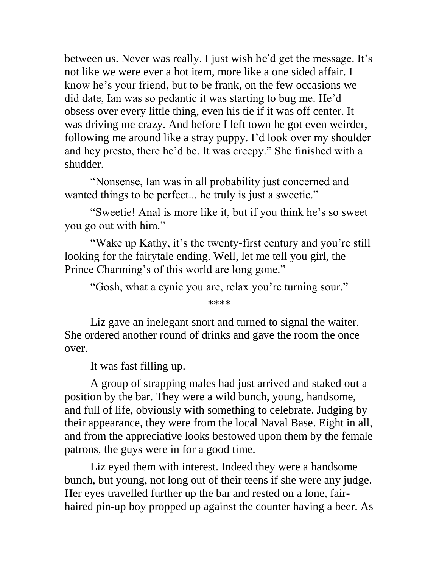between us. Never was really. I just wish he'd get the message. It's not like we were ever a hot item, more like a one sided affair. I know he's your friend, but to be frank, on the few occasions we did date, Ian was so pedantic it was starting to bug me. He'd obsess over every little thing, even his tie if it was off center. It was driving me crazy. And before I left town he got even weirder, following me around like a stray puppy. I'd look over my shoulder and hey presto, there he'd be. It was creepy." She finished with a shudder.

"Nonsense, Ian was in all probability just concerned and wanted things to be perfect... he truly is just a sweetie."

"Sweetie! Anal is more like it, but if you think he's so sweet you go out with him."

"Wake up Kathy, it's the twenty-first century and you're still looking for the fairytale ending. Well, let me tell you girl, the Prince Charming's of this world are long gone."

"Gosh, what a cynic you are, relax you're turning sour."

\*\*\*\*

Liz gave an inelegant snort and turned to signal the waiter. She ordered another round of drinks and gave the room the once over.

It was fast filling up.

A group of strapping males had just arrived and staked out a position by the bar. They were a wild bunch, young, handsome, and full of life, obviously with something to celebrate. Judging by their appearance, they were from the local Naval Base. Eight in all, and from the appreciative looks bestowed upon them by the female patrons, the guys were in for a good time.

Liz eyed them with interest. Indeed they were a handsome bunch, but young, not long out of their teens if she were any judge. Her eyes travelled further up the bar and rested on a lone, fairhaired pin-up boy propped up against the counter having a beer. As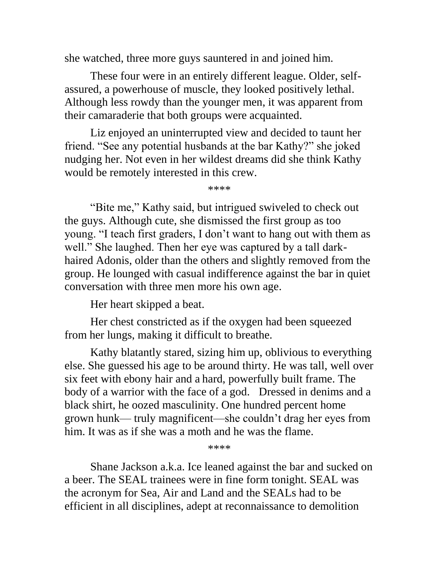she watched, three more guys sauntered in and joined him.

These four were in an entirely different league. Older, selfassured, a powerhouse of muscle, they looked positively lethal. Although less rowdy than the younger men, it was apparent from their camaraderie that both groups were acquainted.

Liz enjoyed an uninterrupted view and decided to taunt her friend. "See any potential husbands at the bar Kathy?" she joked nudging her. Not even in her wildest dreams did she think Kathy would be remotely interested in this crew.

\*\*\*\*

"Bite me," Kathy said, but intrigued swiveled to check out the guys. Although cute, she dismissed the first group as too young. "I teach first graders, I don't want to hang out with them as well." She laughed. Then her eye was captured by a tall darkhaired Adonis, older than the others and slightly removed from the group. He lounged with casual indifference against the bar in quiet conversation with three men more his own age.

Her heart skipped a beat.

Her chest constricted as if the oxygen had been squeezed from her lungs, making it difficult to breathe.

Kathy blatantly stared, sizing him up, oblivious to everything else. She guessed his age to be around thirty. He was tall, well over six feet with ebony hair and a hard, powerfully built frame. The body of a warrior with the face of a god. Dressed in denims and a black shirt, he oozed masculinity. One hundred percent home grown hunk— truly magnificent—she couldn't drag her eyes from him. It was as if she was a moth and he was the flame.

\*\*\*\*

Shane Jackson a.k.a. Ice leaned against the bar and sucked on a beer. The SEAL trainees were in fine form tonight. SEAL was the acronym for Sea, Air and Land and the SEALs had to be efficient in all disciplines, adept at reconnaissance to demolition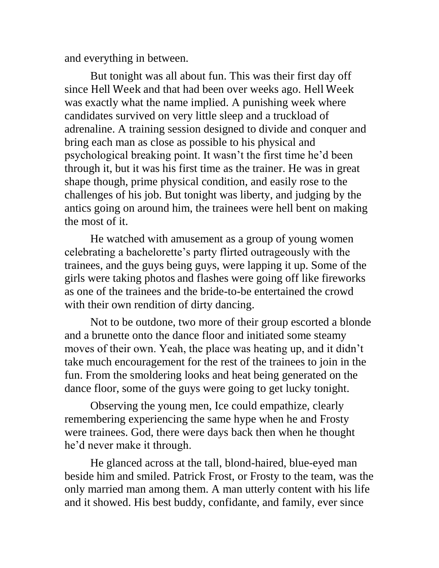and everything in between.

But tonight was all about fun. This was their first day off since Hell Week and that had been over weeks ago. Hell Week was exactly what the name implied. A punishing week where candidates survived on very little sleep and a truckload of adrenaline. A training session designed to divide and conquer and bring each man as close as possible to his physical and psychological breaking point. It wasn't the first time he'd been through it, but it was his first time as the trainer. He was in great shape though, prime physical condition, and easily rose to the challenges of his job. But tonight was liberty, and judging by the antics going on around him, the trainees were hell bent on making the most of it.

He watched with amusement as a group of young women celebrating a bachelorette's party flirted outrageously with the trainees, and the guys being guys, were lapping it up. Some of the girls were taking photos and flashes were going off like fireworks as one of the trainees and the bride-to-be entertained the crowd with their own rendition of dirty dancing.

Not to be outdone, two more of their group escorted a blonde and a brunette onto the dance floor and initiated some steamy moves of their own. Yeah, the place was heating up, and it didn't take much encouragement for the rest of the trainees to join in the fun. From the smoldering looks and heat being generated on the dance floor, some of the guys were going to get lucky tonight.

Observing the young men, Ice could empathize, clearly remembering experiencing the same hype when he and Frosty were trainees. God, there were days back then when he thought he'd never make it through.

He glanced across at the tall, blond-haired, blue-eyed man beside him and smiled. Patrick Frost, or Frosty to the team, was the only married man among them. A man utterly content with his life and it showed. His best buddy, confidante, and family, ever since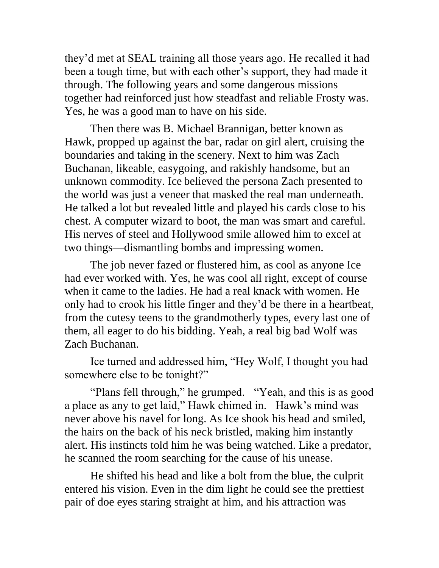they'd met at SEAL training all those years ago. He recalled it had been a tough time, but with each other's support, they had made it through. The following years and some dangerous missions together had reinforced just how steadfast and reliable Frosty was. Yes, he was a good man to have on his side.

Then there was B. Michael Brannigan, better known as Hawk, propped up against the bar, radar on girl alert, cruising the boundaries and taking in the scenery. Next to him was Zach Buchanan, likeable, easygoing, and rakishly handsome, but an unknown commodity. Ice believed the persona Zach presented to the world was just a veneer that masked the real man underneath. He talked a lot but revealed little and played his cards close to his chest. A computer wizard to boot, the man was smart and careful. His nerves of steel and Hollywood smile allowed him to excel at two things—dismantling bombs and impressing women.

The job never fazed or flustered him, as cool as anyone Ice had ever worked with. Yes, he was cool all right, except of course when it came to the ladies. He had a real knack with women. He only had to crook his little finger and they'd be there in a heartbeat, from the cutesy teens to the grandmotherly types, every last one of them, all eager to do his bidding. Yeah, a real big bad Wolf was Zach Buchanan.

Ice turned and addressed him, "Hey Wolf, I thought you had somewhere else to be tonight?"

"Plans fell through," he grumped. "Yeah, and this is as good a place as any to get laid," Hawk chimed in. Hawk's mind was never above his navel for long. As Ice shook his head and smiled, the hairs on the back of his neck bristled, making him instantly alert. His instincts told him he was being watched. Like a predator, he scanned the room searching for the cause of his unease.

He shifted his head and like a bolt from the blue, the culprit entered his vision. Even in the dim light he could see the prettiest pair of doe eyes staring straight at him, and his attraction was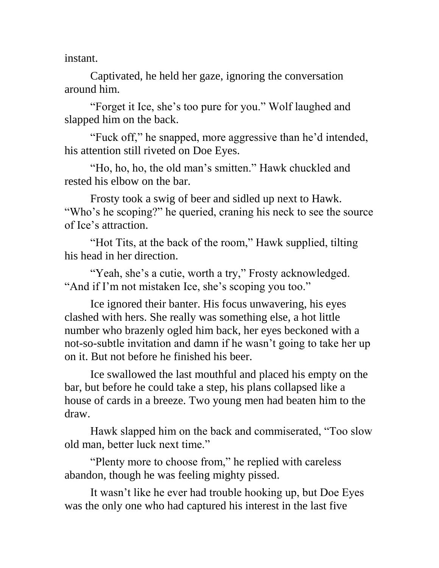instant.

Captivated, he held her gaze, ignoring the conversation around him.

"Forget it Ice, she's too pure for you." Wolf laughed and slapped him on the back.

"Fuck off," he snapped, more aggressive than he'd intended, his attention still riveted on Doe Eyes.

"Ho, ho, ho, the old man's smitten." Hawk chuckled and rested his elbow on the bar.

Frosty took a swig of beer and sidled up next to Hawk. "Who's he scoping?" he queried, craning his neck to see the source of Ice's attraction.

"Hot Tits, at the back of the room," Hawk supplied, tilting his head in her direction.

"Yeah, she's a cutie, worth a try," Frosty acknowledged. "And if I'm not mistaken Ice, she's scoping you too."

Ice ignored their banter. His focus unwavering, his eyes clashed with hers. She really was something else, a hot little number who brazenly ogled him back, her eyes beckoned with a not-so-subtle invitation and damn if he wasn't going to take her up on it. But not before he finished his beer.

Ice swallowed the last mouthful and placed his empty on the bar, but before he could take a step, his plans collapsed like a house of cards in a breeze. Two young men had beaten him to the draw.

Hawk slapped him on the back and commiserated, "Too slow old man, better luck next time."

"Plenty more to choose from," he replied with careless abandon, though he was feeling mighty pissed.

It wasn't like he ever had trouble hooking up, but Doe Eyes was the only one who had captured his interest in the last five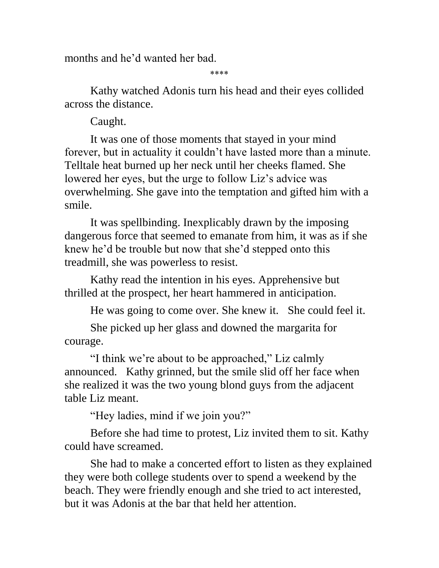months and he'd wanted her bad.

\*\*\*\*

Kathy watched Adonis turn his head and their eyes collided across the distance.

Caught.

It was one of those moments that stayed in your mind forever, but in actuality it couldn't have lasted more than a minute. Telltale heat burned up her neck until her cheeks flamed. She lowered her eyes, but the urge to follow Liz's advice was overwhelming. She gave into the temptation and gifted him with a smile.

It was spellbinding. Inexplicably drawn by the imposing dangerous force that seemed to emanate from him, it was as if she knew he'd be trouble but now that she'd stepped onto this treadmill, she was powerless to resist.

Kathy read the intention in his eyes. Apprehensive but thrilled at the prospect, her heart hammered in anticipation.

He was going to come over. She knew it. She could feel it.

She picked up her glass and downed the margarita for courage.

"I think we're about to be approached," Liz calmly announced. Kathy grinned, but the smile slid off her face when she realized it was the two young blond guys from the adjacent table Liz meant.

"Hey ladies, mind if we join you?"

Before she had time to protest, Liz invited them to sit. Kathy could have screamed.

She had to make a concerted effort to listen as they explained they were both college students over to spend a weekend by the beach. They were friendly enough and she tried to act interested, but it was Adonis at the bar that held her attention.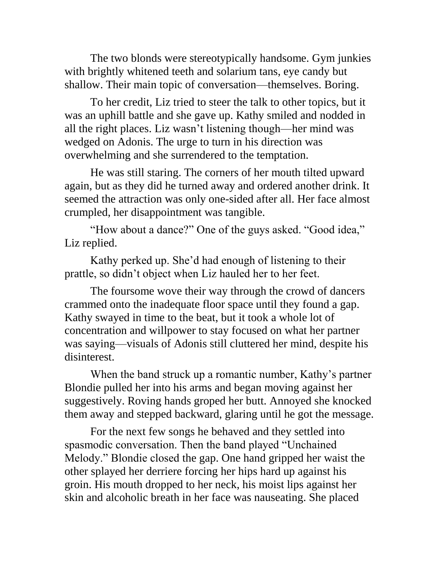The two blonds were stereotypically handsome. Gym junkies with brightly whitened teeth and solarium tans, eye candy but shallow. Their main topic of conversation—themselves. Boring.

To her credit, Liz tried to steer the talk to other topics, but it was an uphill battle and she gave up. Kathy smiled and nodded in all the right places. Liz wasn't listening though—her mind was wedged on Adonis. The urge to turn in his direction was overwhelming and she surrendered to the temptation.

He was still staring. The corners of her mouth tilted upward again, but as they did he turned away and ordered another drink. It seemed the attraction was only one-sided after all. Her face almost crumpled, her disappointment was tangible.

"How about a dance?" One of the guys asked. "Good idea," Liz replied.

Kathy perked up. She'd had enough of listening to their prattle, so didn't object when Liz hauled her to her feet.

The foursome wove their way through the crowd of dancers crammed onto the inadequate floor space until they found a gap. Kathy swayed in time to the beat, but it took a whole lot of concentration and willpower to stay focused on what her partner was saying—visuals of Adonis still cluttered her mind, despite his disinterest.

When the band struck up a romantic number, Kathy's partner Blondie pulled her into his arms and began moving against her suggestively. Roving hands groped her butt. Annoyed she knocked them away and stepped backward, glaring until he got the message.

For the next few songs he behaved and they settled into spasmodic conversation. Then the band played "Unchained Melody." Blondie closed the gap. One hand gripped her waist the other splayed her derriere forcing her hips hard up against his groin. His mouth dropped to her neck, his moist lips against her skin and alcoholic breath in her face was nauseating. She placed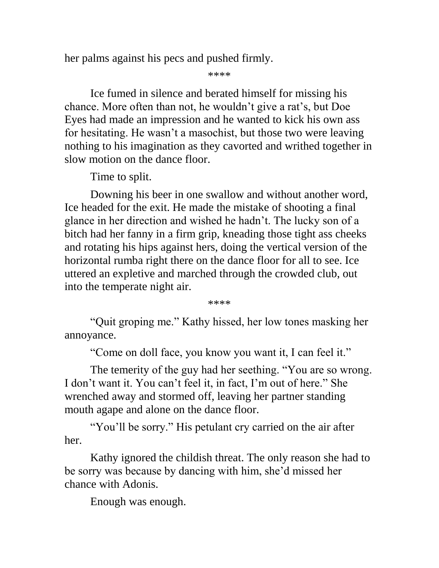her palms against his pecs and pushed firmly.

\*\*\*\*

Ice fumed in silence and berated himself for missing his chance. More often than not, he wouldn't give a rat's, but Doe Eyes had made an impression and he wanted to kick his own ass for hesitating. He wasn't a masochist, but those two were leaving nothing to his imagination as they cavorted and writhed together in slow motion on the dance floor.

Time to split.

Downing his beer in one swallow and without another word, Ice headed for the exit. He made the mistake of shooting a final glance in her direction and wished he hadn't. The lucky son of a bitch had her fanny in a firm grip, kneading those tight ass cheeks and rotating his hips against hers, doing the vertical version of the horizontal rumba right there on the dance floor for all to see. Ice uttered an expletive and marched through the crowded club, out into the temperate night air.

\*\*\*\*

"Quit groping me." Kathy hissed, her low tones masking her annoyance.

"Come on doll face, you know you want it, I can feel it."

The temerity of the guy had her seething. "You are so wrong. I don't want it. You can't feel it, in fact, I'm out of here." She wrenched away and stormed off, leaving her partner standing mouth agape and alone on the dance floor.

"You'll be sorry." His petulant cry carried on the air after her.

Kathy ignored the childish threat. The only reason she had to be sorry was because by dancing with him, she'd missed her chance with Adonis.

Enough was enough.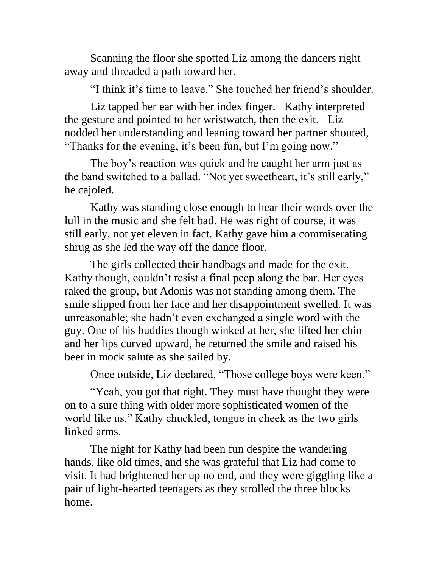Scanning the floor she spotted Liz among the dancers right away and threaded a path toward her.

"I think it's time to leave." She touched her friend's shoulder.

Liz tapped her ear with her index finger. Kathy interpreted the gesture and pointed to her wristwatch, then the exit. Liz nodded her understanding and leaning toward her partner shouted, "Thanks for the evening, it's been fun, but I'm going now."

The boy's reaction was quick and he caught her arm just as the band switched to a ballad. "Not yet sweetheart, it's still early," he cajoled.

Kathy was standing close enough to hear their words over the lull in the music and she felt bad. He was right of course, it was still early, not yet eleven in fact. Kathy gave him a commiserating shrug as she led the way off the dance floor.

The girls collected their handbags and made for the exit. Kathy though, couldn't resist a final peep along the bar. Her eyes raked the group, but Adonis was not standing among them. The smile slipped from her face and her disappointment swelled. It was unreasonable; she hadn't even exchanged a single word with the guy. One of his buddies though winked at her, she lifted her chin and her lips curved upward, he returned the smile and raised his beer in mock salute as she sailed by.

Once outside, Liz declared, "Those college boys were keen."

"Yeah, you got that right. They must have thought they were on to a sure thing with older more sophisticated women of the world like us." Kathy chuckled, tongue in cheek as the two girls linked arms.

The night for Kathy had been fun despite the wandering hands, like old times, and she was grateful that Liz had come to visit. It had brightened her up no end, and they were giggling like a pair of light-hearted teenagers as they strolled the three blocks home.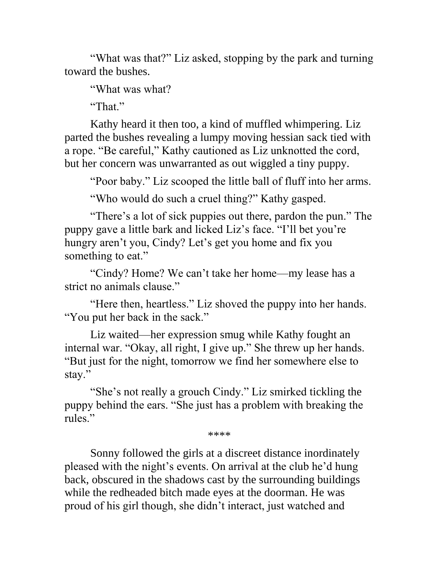"What was that?" Liz asked, stopping by the park and turning toward the bushes.

"What was what?

"That."

Kathy heard it then too, a kind of muffled whimpering. Liz parted the bushes revealing a lumpy moving hessian sack tied with a rope. "Be careful," Kathy cautioned as Liz unknotted the cord, but her concern was unwarranted as out wiggled a tiny puppy.

"Poor baby." Liz scooped the little ball of fluff into her arms.

"Who would do such a cruel thing?" Kathy gasped.

"There's a lot of sick puppies out there, pardon the pun." The puppy gave a little bark and licked Liz's face. "I'll bet you're hungry aren't you, Cindy? Let's get you home and fix you something to eat."

"Cindy? Home? We can't take her home—my lease has a strict no animals clause."

"Here then, heartless." Liz shoved the puppy into her hands. "You put her back in the sack."

Liz waited—her expression smug while Kathy fought an internal war. "Okay, all right, I give up." She threw up her hands. "But just for the night, tomorrow we find her somewhere else to stay."

"She's not really a grouch Cindy." Liz smirked tickling the puppy behind the ears. "She just has a problem with breaking the rules."

\*\*\*\*

Sonny followed the girls at a discreet distance inordinately pleased with the night's events. On arrival at the club he'd hung back, obscured in the shadows cast by the surrounding buildings while the redheaded bitch made eyes at the doorman. He was proud of his girl though, she didn't interact, just watched and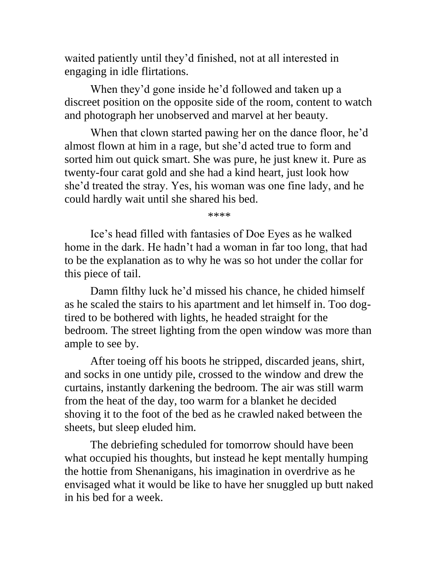waited patiently until they'd finished, not at all interested in engaging in idle flirtations.

When they'd gone inside he'd followed and taken up a discreet position on the opposite side of the room, content to watch and photograph her unobserved and marvel at her beauty.

When that clown started pawing her on the dance floor, he'd almost flown at him in a rage, but she'd acted true to form and sorted him out quick smart. She was pure, he just knew it. Pure as twenty-four carat gold and she had a kind heart, just look how she'd treated the stray. Yes, his woman was one fine lady, and he could hardly wait until she shared his bed.

\*\*\*\*

Ice's head filled with fantasies of Doe Eyes as he walked home in the dark. He hadn't had a woman in far too long, that had to be the explanation as to why he was so hot under the collar for this piece of tail.

Damn filthy luck he'd missed his chance, he chided himself as he scaled the stairs to his apartment and let himself in. Too dogtired to be bothered with lights, he headed straight for the bedroom. The street lighting from the open window was more than ample to see by.

After toeing off his boots he stripped, discarded jeans, shirt, and socks in one untidy pile, crossed to the window and drew the curtains, instantly darkening the bedroom. The air was still warm from the heat of the day, too warm for a blanket he decided shoving it to the foot of the bed as he crawled naked between the sheets, but sleep eluded him.

The debriefing scheduled for tomorrow should have been what occupied his thoughts, but instead he kept mentally humping the hottie from Shenanigans, his imagination in overdrive as he envisaged what it would be like to have her snuggled up butt naked in his bed for a week.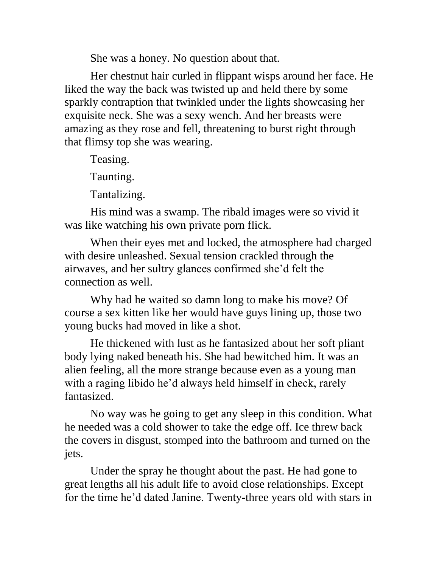She was a honey. No question about that.

Her chestnut hair curled in flippant wisps around her face. He liked the way the back was twisted up and held there by some sparkly contraption that twinkled under the lights showcasing her exquisite neck. She was a sexy wench. And her breasts were amazing as they rose and fell, threatening to burst right through that flimsy top she was wearing.

Teasing.

Taunting.

Tantalizing.

His mind was a swamp. The ribald images were so vivid it was like watching his own private porn flick.

When their eyes met and locked, the atmosphere had charged with desire unleashed. Sexual tension crackled through the airwaves, and her sultry glances confirmed she'd felt the connection as well.

Why had he waited so damn long to make his move? Of course a sex kitten like her would have guys lining up, those two young bucks had moved in like a shot.

He thickened with lust as he fantasized about her soft pliant body lying naked beneath his. She had bewitched him. It was an alien feeling, all the more strange because even as a young man with a raging libido he'd always held himself in check, rarely fantasized.

No way was he going to get any sleep in this condition. What he needed was a cold shower to take the edge off. Ice threw back the covers in disgust, stomped into the bathroom and turned on the jets.

Under the spray he thought about the past. He had gone to great lengths all his adult life to avoid close relationships. Except for the time he'd dated Janine. Twenty-three years old with stars in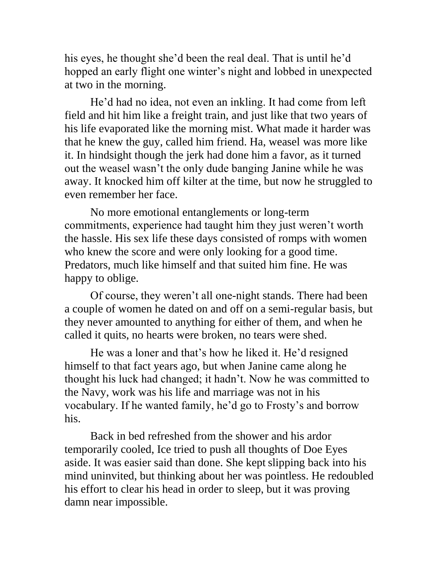his eyes, he thought she'd been the real deal. That is until he'd hopped an early flight one winter's night and lobbed in unexpected at two in the morning.

He'd had no idea, not even an inkling. It had come from left field and hit him like a freight train, and just like that two years of his life evaporated like the morning mist. What made it harder was that he knew the guy, called him friend. Ha, weasel was more like it. In hindsight though the jerk had done him a favor, as it turned out the weasel wasn't the only dude banging Janine while he was away. It knocked him off kilter at the time, but now he struggled to even remember her face.

No more emotional entanglements or long-term commitments, experience had taught him they just weren't worth the hassle. His sex life these days consisted of romps with women who knew the score and were only looking for a good time. Predators, much like himself and that suited him fine. He was happy to oblige.

Of course, they weren't all one-night stands. There had been a couple of women he dated on and off on a semi-regular basis, but they never amounted to anything for either of them, and when he called it quits, no hearts were broken, no tears were shed.

He was a loner and that's how he liked it. He'd resigned himself to that fact years ago, but when Janine came along he thought his luck had changed; it hadn't. Now he was committed to the Navy, work was his life and marriage was not in his vocabulary. If he wanted family, he'd go to Frosty's and borrow his.

Back in bed refreshed from the shower and his ardor temporarily cooled, Ice tried to push all thoughts of Doe Eyes aside. It was easier said than done. She kept slipping back into his mind uninvited, but thinking about her was pointless. He redoubled his effort to clear his head in order to sleep, but it was proving damn near impossible.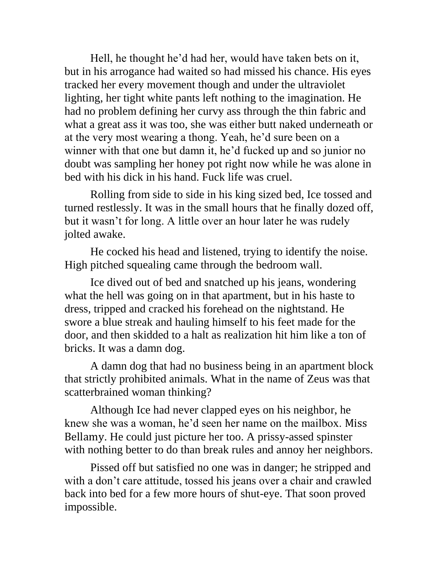Hell, he thought he'd had her, would have taken bets on it, but in his arrogance had waited so had missed his chance. His eyes tracked her every movement though and under the ultraviolet lighting, her tight white pants left nothing to the imagination. He had no problem defining her curvy ass through the thin fabric and what a great ass it was too, she was either butt naked underneath or at the very most wearing a thong. Yeah, he'd sure been on a winner with that one but damn it, he'd fucked up and so junior no doubt was sampling her honey pot right now while he was alone in bed with his dick in his hand. Fuck life was cruel.

Rolling from side to side in his king sized bed, Ice tossed and turned restlessly. It was in the small hours that he finally dozed off, but it wasn't for long. A little over an hour later he was rudely jolted awake.

He cocked his head and listened, trying to identify the noise. High pitched squealing came through the bedroom wall.

Ice dived out of bed and snatched up his jeans, wondering what the hell was going on in that apartment, but in his haste to dress, tripped and cracked his forehead on the nightstand. He swore a blue streak and hauling himself to his feet made for the door, and then skidded to a halt as realization hit him like a ton of bricks. It was a damn dog.

A damn dog that had no business being in an apartment block that strictly prohibited animals. What in the name of Zeus was that scatterbrained woman thinking?

Although Ice had never clapped eyes on his neighbor, he knew she was a woman, he'd seen her name on the mailbox. Miss Bellamy. He could just picture her too. A prissy-assed spinster with nothing better to do than break rules and annoy her neighbors.

Pissed off but satisfied no one was in danger; he stripped and with a don't care attitude, tossed his jeans over a chair and crawled back into bed for a few more hours of shut-eye. That soon proved impossible.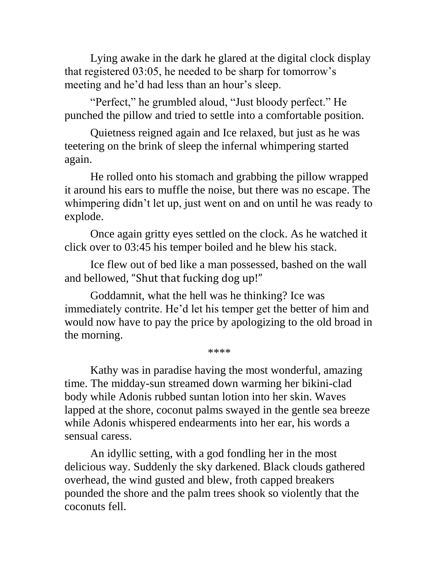Lying awake in the dark he glared at the digital clock display that registered 03:05, he needed to be sharp for tomorrow's meeting and he'd had less than an hour's sleep.

"Perfect," he grumbled aloud, "Just bloody perfect." He punched the pillow and tried to settle into a comfortable position.

Quietness reigned again and Ice relaxed, but just as he was teetering on the brink of sleep the infernal whimpering started again.

He rolled onto his stomach and grabbing the pillow wrapped it around his ears to muffle the noise, but there was no escape. The whimpering didn't let up, just went on and on until he was ready to explode.

Once again gritty eyes settled on the clock. As he watched it click over to 03:45 his temper boiled and he blew his stack.

Ice flew out of bed like a man possessed, bashed on the wall and bellowed, "Shut that fucking dog up!"

Goddamnit, what the hell was he thinking? Ice was immediately contrite. He'd let his temper get the better of him and would now have to pay the price by apologizing to the old broad in the morning.

\*\*\*\*

Kathy was in paradise having the most wonderful, amazing time. The midday-sun streamed down warming her bikini-clad body while Adonis rubbed suntan lotion into her skin. Waves lapped at the shore, coconut palms swayed in the gentle sea breeze while Adonis whispered endearments into her ear, his words a sensual caress.

An idyllic setting, with a god fondling her in the most delicious way. Suddenly the sky darkened. Black clouds gathered overhead, the wind gusted and blew, froth capped breakers pounded the shore and the palm trees shook so violently that the coconuts fell.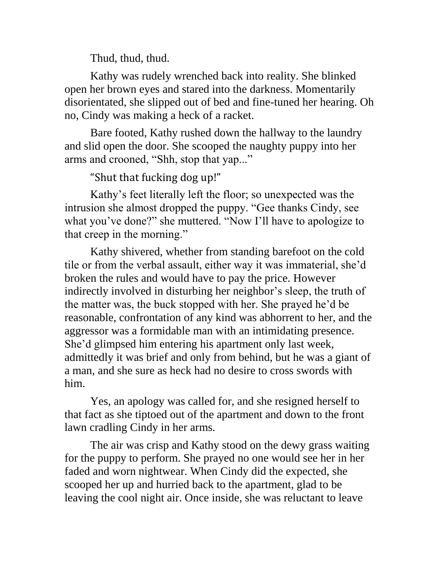Thud, thud, thud.

Kathy was rudely wrenched back into reality. She blinked open her brown eyes and stared into the darkness. Momentarily disorientated, she slipped out of bed and fine-tuned her hearing. Oh no, Cindy was making a heck of a racket.

Bare footed, Kathy rushed down the hallway to the laundry and slid open the door. She scooped the naughty puppy into her arms and crooned, "Shh, stop that yap..."

## "Shut that fucking dog up!"

Kathy's feet literally left the floor; so unexpected was the intrusion she almost dropped the puppy. "Gee thanks Cindy, see what you've done?" she muttered. "Now I'll have to apologize to that creep in the morning."

Kathy shivered, whether from standing barefoot on the cold tile or from the verbal assault, either way it was immaterial, she'd broken the rules and would have to pay the price. However indirectly involved in disturbing her neighbor's sleep, the truth of the matter was, the buck stopped with her. She prayed he'd be reasonable, confrontation of any kind was abhorrent to her, and the aggressor was a formidable man with an intimidating presence. She'd glimpsed him entering his apartment only last week, admittedly it was brief and only from behind, but he was a giant of a man, and she sure as heck had no desire to cross swords with him.

Yes, an apology was called for, and she resigned herself to that fact as she tiptoed out of the apartment and down to the front lawn cradling Cindy in her arms.

The air was crisp and Kathy stood on the dewy grass waiting for the puppy to perform. She prayed no one would see her in her faded and worn nightwear. When Cindy did the expected, she scooped her up and hurried back to the apartment, glad to be leaving the cool night air. Once inside, she was reluctant to leave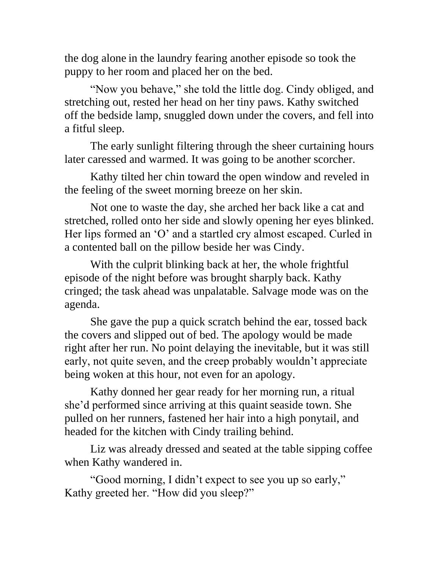the dog alone in the laundry fearing another episode so took the puppy to her room and placed her on the bed.

"Now you behave," she told the little dog. Cindy obliged, and stretching out, rested her head on her tiny paws. Kathy switched off the bedside lamp, snuggled down under the covers, and fell into a fitful sleep.

The early sunlight filtering through the sheer curtaining hours later caressed and warmed. It was going to be another scorcher.

Kathy tilted her chin toward the open window and reveled in the feeling of the sweet morning breeze on her skin.

Not one to waste the day, she arched her back like a cat and stretched, rolled onto her side and slowly opening her eyes blinked. Her lips formed an 'O' and a startled cry almost escaped. Curled in a contented ball on the pillow beside her was Cindy.

With the culprit blinking back at her, the whole frightful episode of the night before was brought sharply back. Kathy cringed; the task ahead was unpalatable. Salvage mode was on the agenda.

She gave the pup a quick scratch behind the ear, tossed back the covers and slipped out of bed. The apology would be made right after her run. No point delaying the inevitable, but it was still early, not quite seven, and the creep probably wouldn't appreciate being woken at this hour, not even for an apology.

Kathy donned her gear ready for her morning run, a ritual she'd performed since arriving at this quaint seaside town. She pulled on her runners, fastened her hair into a high ponytail, and headed for the kitchen with Cindy trailing behind.

Liz was already dressed and seated at the table sipping coffee when Kathy wandered in.

"Good morning, I didn't expect to see you up so early," Kathy greeted her. "How did you sleep?"